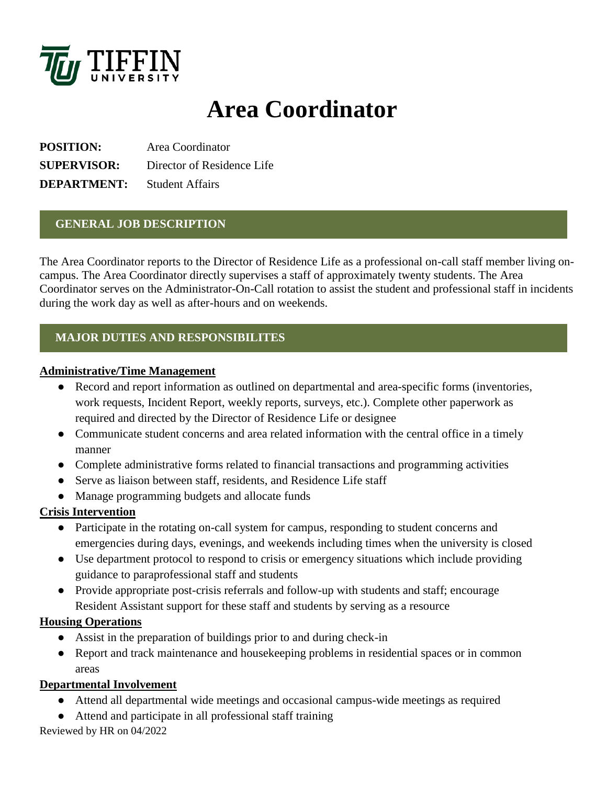

# **Area Coordinator**

**POSITION:** Area Coordinator **SUPERVISOR:** Director of Residence Life **DEPARTMENT:** Student Affairs

## **GENERAL JOB DESCRIPTION**

The Area Coordinator reports to the Director of Residence Life as a professional on-call staff member living oncampus. The Area Coordinator directly supervises a staff of approximately twenty students. The Area Coordinator serves on the Administrator-On-Call rotation to assist the student and professional staff in incidents during the work day as well as after-hours and on weekends.

# **MAJOR DUTIES AND RESPONSIBILITES**

### **Administrative/Time Management**

- Record and report information as outlined on departmental and area-specific forms (inventories, work requests, Incident Report, weekly reports, surveys, etc.). Complete other paperwork as required and directed by the Director of Residence Life or designee
- Communicate student concerns and area related information with the central office in a timely manner
- Complete administrative forms related to financial transactions and programming activities
- Serve as liaison between staff, residents, and Residence Life staff
- Manage programming budgets and allocate funds

## **Crisis Intervention**

- Participate in the rotating on-call system for campus, responding to student concerns and emergencies during days, evenings, and weekends including times when the university is closed
- Use department protocol to respond to crisis or emergency situations which include providing guidance to paraprofessional staff and students
- Provide appropriate post-crisis referrals and follow-up with students and staff; encourage Resident Assistant support for these staff and students by serving as a resource

## **Housing Operations**

- Assist in the preparation of buildings prior to and during check-in
- Report and track maintenance and housekeeping problems in residential spaces or in common areas

## **Departmental Involvement**

- Attend all departmental wide meetings and occasional campus-wide meetings as required
- Attend and participate in all professional staff training

Reviewed by HR on 04/2022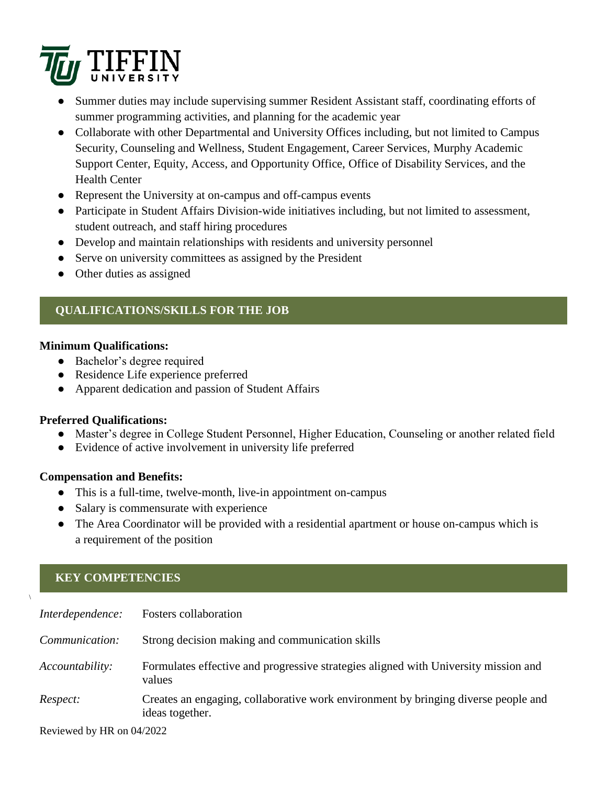

- Summer duties may include supervising summer Resident Assistant staff, coordinating efforts of summer programming activities, and planning for the academic year
- Collaborate with other Departmental and University Offices including, but not limited to Campus Security, Counseling and Wellness, Student Engagement, Career Services, Murphy Academic Support Center, Equity, Access, and Opportunity Office, Office of Disability Services, and the Health Center
- Represent the University at on-campus and off-campus events
- Participate in Student Affairs Division-wide initiatives including, but not limited to assessment, student outreach, and staff hiring procedures
- Develop and maintain relationships with residents and university personnel
- Serve on university committees as assigned by the President
- Other duties as assigned

# **QUALIFICATIONS/SKILLS FOR THE JOB**

### **Minimum Qualifications:**

- Bachelor's degree required
- Residence Life experience preferred
- Apparent dedication and passion of Student Affairs

## **Preferred Qualifications:**

- Master's degree in College Student Personnel, Higher Education, Counseling or another related field
- Evidence of active involvement in university life preferred

## **Compensation and Benefits:**

- This is a full-time, twelve-month, live-in appointment on-campus
- Salary is commensurate with experience
- The Area Coordinator will be provided with a residential apartment or house on-campus which is a requirement of the position

# **KEY COMPETENCIES**

 $\sqrt{2}$ 

| Interdependence: | <b>Fosters collaboration</b>                                                                          |
|------------------|-------------------------------------------------------------------------------------------------------|
| Communication:   | Strong decision making and communication skills                                                       |
| Accountability:  | Formulates effective and progressive strategies aligned with University mission and<br>values         |
| Respect:         | Creates an engaging, collaborative work environment by bringing diverse people and<br>ideas together. |

Reviewed by HR on 04/2022